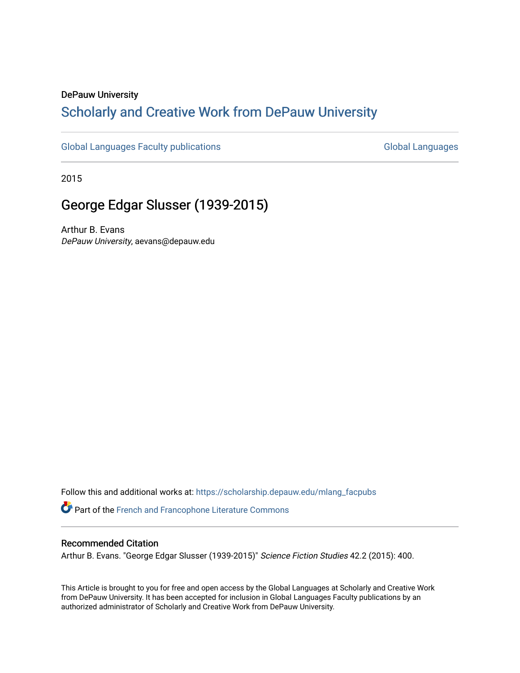#### DePauw University

## Scholarly and [Creative Work from DePauw Univ](https://scholarship.depauw.edu/)ersity

[Global Languages Faculty publications](https://scholarship.depauw.edu/mlang_facpubs) [Global Languages](https://scholarship.depauw.edu/modernlanguages) Global Languages

2015

## George Edgar Slusser (1939-2015)

Arthur B. Evans DePauw University, aevans@depauw.edu

Follow this and additional works at: [https://scholarship.depauw.edu/mlang\\_facpubs](https://scholarship.depauw.edu/mlang_facpubs?utm_source=scholarship.depauw.edu%2Fmlang_facpubs%2F72&utm_medium=PDF&utm_campaign=PDFCoverPages) Part of the [French and Francophone Literature Commons](https://network.bepress.com/hgg/discipline/465?utm_source=scholarship.depauw.edu%2Fmlang_facpubs%2F72&utm_medium=PDF&utm_campaign=PDFCoverPages) 

#### Recommended Citation

Arthur B. Evans. "George Edgar Slusser (1939-2015)" Science Fiction Studies 42.2 (2015): 400.

This Article is brought to you for free and open access by the Global Languages at Scholarly and Creative Work from DePauw University. It has been accepted for inclusion in Global Languages Faculty publications by an authorized administrator of Scholarly and Creative Work from DePauw University.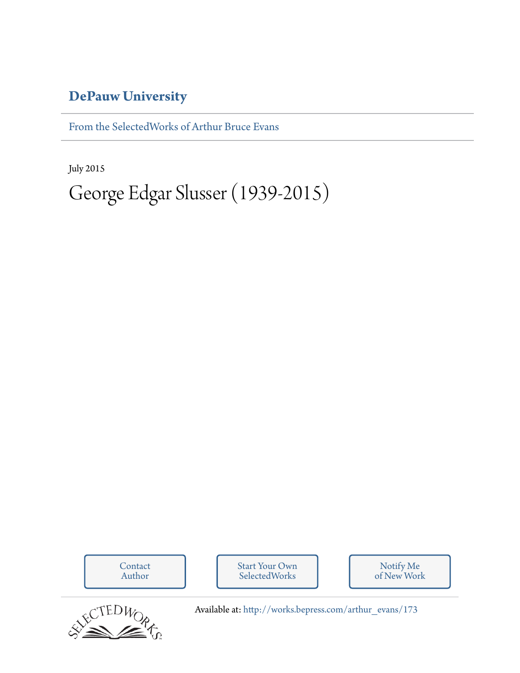## **[DePauw University](http://depauw.edu)**

[From the SelectedWorks of Arthur Bruce Evans](http://works.bepress.com/arthur_evans)

July 2015

# George Edgar Slusser (1939-2015)

[Contact](http://works.bepress.com/arthur_evans/contact.html) Author [Start Your Own](http://works.bepress.com/cgi/sw_user_setup.cgi) **SelectedWorks** Notify Me [of New Work](http://works.bepress.com/arthur_evans)



Available at: [http://works.bepress.com/arthur\\_evans/173](http://works.bepress.com/arthur_evans/173)